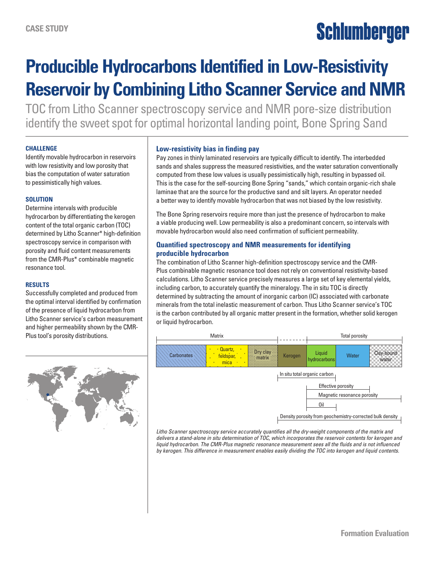# Schlumberger

### **Producible Hydrocarbons Identified in Low-Resistivity Reservoir by Combining Litho Scanner Service and NMR**

TOC from Litho Scanner spectroscopy service and NMR pore-size distribution identify the sweet spot for optimal horizontal landing point, Bone Spring Sand

#### **CHALLENGE**

Identify movable hydrocarbon in reservoirs with low resistivity and low porosity that bias the computation of water saturation to pessimistically high values.

#### **SOLUTION**

Determine intervals with producible hydrocarbon by differentiating the kerogen content of the total organic carbon (TOC) determined by Litho Scanner\* high-definition spectroscopy service in comparison with porosity and fluid content measurements from the CMR-Plus\* combinable magnetic resonance tool.

#### **RESULTS**

Successfully completed and produced from the optimal interval identified by confirmation of the presence of liquid hydrocarbon from Litho Scanner service's carbon measurement and higher permeability shown by the CMR-Plus tool's porosity distributions.



#### **Low-resistivity bias in finding pay**

Pay zones in thinly laminated reservoirs are typically difficult to identify. The interbedded sands and shales suppress the measured resistivities, and the water saturation conventionally computed from these low values is usually pessimistically high, resulting in bypassed oil. This is the case for the self-sourcing Bone Spring "sands," which contain organic-rich shale laminae that are the source for the productive sand and silt layers. An operator needed a better way to identify movable hydrocarbon that was not biased by the low resistivity.

The Bone Spring reservoirs require more than just the presence of hydrocarbon to make a viable producing well. Low permeability is also a predominant concern, so intervals with movable hydrocarbon would also need confirmation of sufficient permeability.

#### **Quantified spectroscopy and NMR measurements for identifying producible hydrocarbon**

The combination of Litho Scanner high-definition spectroscopy service and the CMR-Plus combinable magnetic resonance tool does not rely on conventional resistivity-based calculations. Litho Scanner service precisely measures a large set of key elemental yields, including carbon, to accurately quantify the mineralogy. The in situ TOC is directly determined by subtracting the amount of inorganic carbon (IC) associated with carbonate minerals from the total inelastic measurement of carbon. Thus Litho Scanner service's TOC is the carbon contributed by all organic matter present in the formation, whether solid kerogen or liquid hydrocarbon.



*Litho Scanner spectroscopy service accurately quantifies all the dry-weight components of the matrix and delivers a stand-alone in situ determination of TOC, which incorporates the reservoir contents for kerogen and liquid hydrocarbon. The CMR-Plus magnetic resonance measurement sees all the fluids and is not influenced by kerogen. This difference in measurement enables easily dividing the TOC into kerogen and liquid contents.*